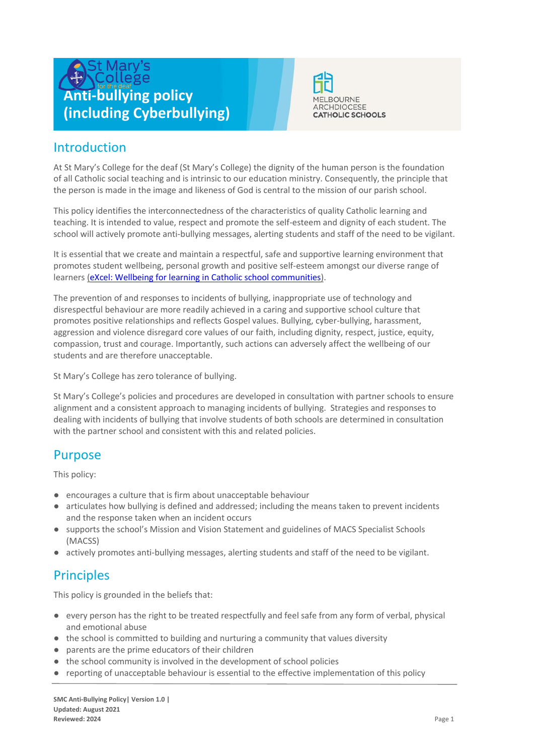# College **Anti-bullying policy (including Cyberbullying)**



# Introduction

At St Mary's College for the deaf (St Mary's College) the dignity of the human person is the foundation of all Catholic social teaching and is intrinsic to our education ministry. Consequently, the principle that the person is made in the image and likeness of God is central to the mission of our parish school.

This policy identifies the interconnectedness of the characteristics of quality Catholic learning and teaching. It is intended to value, respect and promote the self-esteem and dignity of each student. The school will actively promote anti-bullying messages, alerting students and staff of the need to be vigilant.

It is essential that we create and maintain a respectful, safe and supportive learning environment that promotes student wellbeing, personal growth and positive self-esteem amongst our diverse range of learners [\(eXcel: Wellbeing for learning in Catholic school communities\)](https://cevn.cecv.catholic.edu.au/Melb/Student-Support/Student-Wellbeing/eXcel#excel:-wellbeing-for-learning-in-catholic-school-communities).

The prevention of and responses to incidents of bullying, inappropriate use of technology and disrespectful behaviour are more readily achieved in a caring and supportive school culture that promotes positive relationships and reflects Gospel values. Bullying, cyber-bullying, harassment, aggression and violence disregard core values of our faith, including dignity, respect, justice, equity, compassion, trust and courage. Importantly, such actions can adversely affect the wellbeing of our students and are therefore unacceptable.

St Mary's College has zero tolerance of bullying.

St Mary's College's policies and procedures are developed in consultation with partner schools to ensure alignment and a consistent approach to managing incidents of bullying. Strategies and responses to dealing with incidents of bullying that involve students of both schools are determined in consultation with the partner school and consistent with this and related policies.

# Purpose

This policy:

- encourages a culture that is firm about unacceptable behaviour
- articulates how bullying is defined and addressed; including the means taken to prevent incidents and the response taken when an incident occurs
- supports the school's Mission and Vision Statement and guidelines of MACS Specialist Schools (MACSS)
- actively promotes anti-bullying messages, alerting students and staff of the need to be vigilant.

# **Principles**

This policy is grounded in the beliefs that:

- every person has the right to be treated respectfully and feel safe from any form of verbal, physical and emotional abuse
- the school is committed to building and nurturing a community that values diversity
- parents are the prime educators of their children
- the school community is involved in the development of school policies
- reporting of unacceptable behaviour is essential to the effective implementation of this policy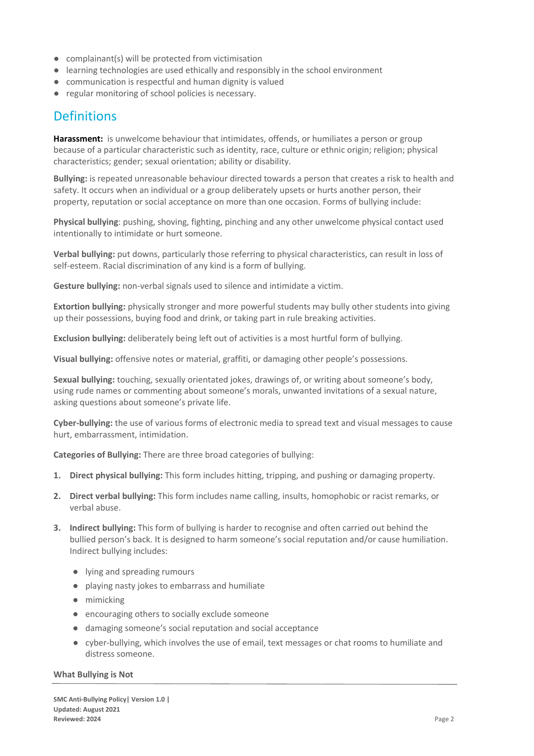- complainant(s) will be protected from victimisation
- learning technologies are used ethically and responsibly in the school environment
- communication is respectful and human dignity is valued
- regular monitoring of school policies is necessary.

# Definitions

**Harassment:** is unwelcome behaviour that intimidates, offends, or humiliates a person or group because of a particular characteristic such as identity, race, culture or ethnic origin; religion; physical characteristics; gender; sexual orientation; ability or disability.

**Bullying:** is repeated unreasonable behaviour directed towards a person that creates a risk to health and safety. It occurs when an individual or a group deliberately upsets or hurts another person, their property, reputation or social acceptance on more than one occasion. Forms of bullying include:

**Physical bullying**: pushing, shoving, fighting, pinching and any other unwelcome physical contact used intentionally to intimidate or hurt someone.

**Verbal bullying:** put downs, particularly those referring to physical characteristics, can result in loss of self-esteem. Racial discrimination of any kind is a form of bullying.

**Gesture bullying:** non-verbal signals used to silence and intimidate a victim.

**Extortion bullying:** physically stronger and more powerful students may bully other students into giving up their possessions, buying food and drink, or taking part in rule breaking activities.

**Exclusion bullying:** deliberately being left out of activities is a most hurtful form of bullying.

**Visual bullying:** offensive notes or material, graffiti, or damaging other people's possessions.

**Sexual bullying:** touching, sexually orientated jokes, drawings of, or writing about someone's body, using rude names or commenting about someone's morals, unwanted invitations of a sexual nature, asking questions about someone's private life.

**Cyber-bullying:** the use of various forms of electronic media to spread text and visual messages to cause hurt, embarrassment, intimidation.

**Categories of Bullying:** There are three broad categories of bullying:

- **1. Direct physical bullying:** This form includes hitting, tripping, and pushing or damaging property.
- **2. Direct verbal bullying:** This form includes name calling, insults, homophobic or racist remarks, or verbal abuse.
- **3. Indirect bullying:** This form of bullying is harder to recognise and often carried out behind the bullied person's back. It is designed to harm someone's social reputation and/or cause humiliation. Indirect bullying includes:
	- lying and spreading rumours
	- playing nasty jokes to embarrass and humiliate
	- mimicking
	- encouraging others to socially exclude someone
	- damaging someone's social reputation and social acceptance
	- cyber-bullying, which involves the use of email, text messages or chat rooms to humiliate and distress someone.

### **What Bullying is Not**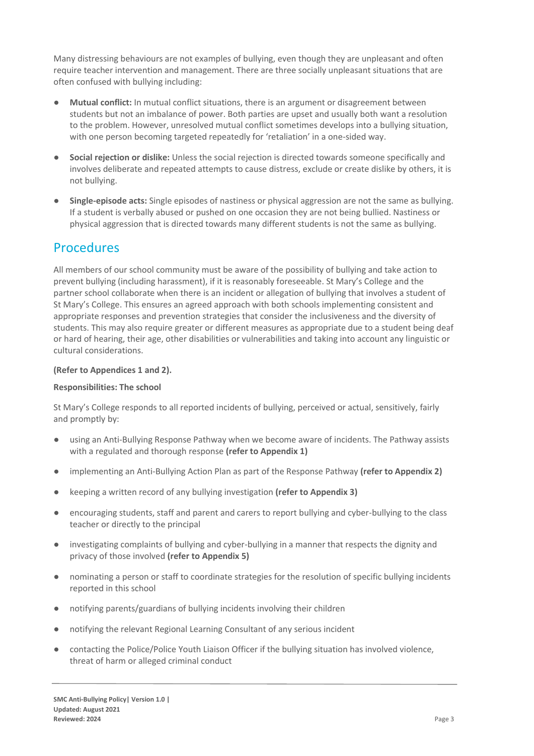Many distressing behaviours are not examples of bullying, even though they are unpleasant and often require teacher intervention and management. There are three socially unpleasant situations that are often confused with bullying including:

- **Mutual conflict:** In mutual conflict situations, there is an argument or disagreement between students but not an imbalance of power. Both parties are upset and usually both want a resolution to the problem. However, unresolved mutual conflict sometimes develops into a bullying situation, with one person becoming targeted repeatedly for 'retaliation' in a one-sided way.
- **Social rejection or dislike:** Unless the social rejection is directed towards someone specifically and involves deliberate and repeated attempts to cause distress, exclude or create dislike by others, it is not bullying.
- **Single-episode acts:** Single episodes of nastiness or physical aggression are not the same as bullying. If a student is verbally abused or pushed on one occasion they are not being bullied. Nastiness or physical aggression that is directed towards many different students is not the same as bullying.

# **Procedures**

All members of our school community must be aware of the possibility of bullying and take action to prevent bullying (including harassment), if it is reasonably foreseeable. St Mary's College and the partner school collaborate when there is an incident or allegation of bullying that involves a student of St Mary's College. This ensures an agreed approach with both schools implementing consistent and appropriate responses and prevention strategies that consider the inclusiveness and the diversity of students. This may also require greater or different measures as appropriate due to a student being deaf or hard of hearing, their age, other disabilities or vulnerabilities and taking into account any linguistic or cultural considerations.

## **(Refer to Appendices 1 and 2).**

## **Responsibilities: The school**

St Mary's College responds to all reported incidents of bullying, perceived or actual, sensitively, fairly and promptly by:

- using an Anti-Bullying Response Pathway when we become aware of incidents. The Pathway assists with a regulated and thorough response **(refer to Appendix 1)**
- implementing an Anti-Bullying Action Plan as part of the Response Pathway **(refer to Appendix 2)**
- keeping a written record of any bullying investigation **(refer to Appendix 3)**
- encouraging students, staff and parent and carers to report bullying and cyber-bullying to the class teacher or directly to the principal
- investigating complaints of bullying and cyber-bullying in a manner that respects the dignity and privacy of those involved **(refer to Appendix 5)**
- nominating a person or staff to coordinate strategies for the resolution of specific bullying incidents reported in this school
- notifying parents/guardians of bullying incidents involving their children
- notifying the relevant Regional Learning Consultant of any serious incident
- contacting the Police/Police Youth Liaison Officer if the bullying situation has involved violence, threat of harm or alleged criminal conduct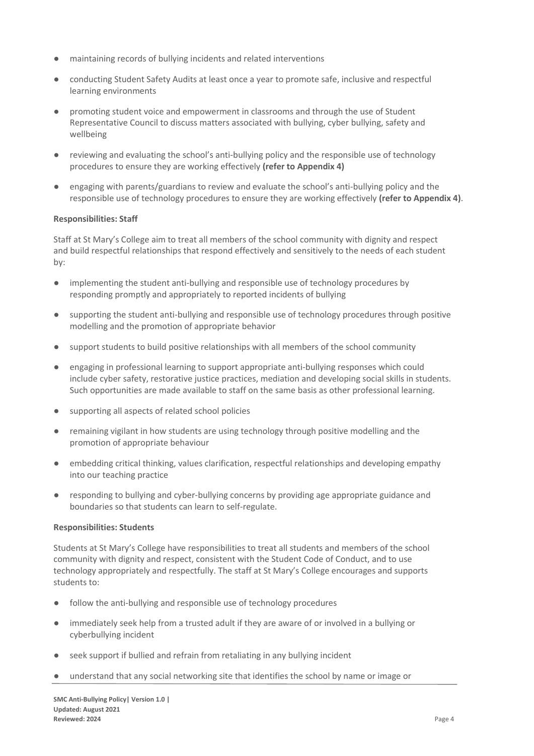- maintaining records of bullying incidents and related interventions
- conducting Student Safety Audits at least once a year to promote safe, inclusive and respectful learning environments
- promoting student voice and empowerment in classrooms and through the use of Student Representative Council to discuss matters associated with bullying, cyber bullying, safety and wellbeing
- reviewing and evaluating the school's anti-bullying policy and the responsible use of technology procedures to ensure they are working effectively **(refer to Appendix 4)**
- engaging with parents/guardians to review and evaluate the school's anti-bullying policy and the responsible use of technology procedures to ensure they are working effectively **(refer to Appendix 4)**.

### **Responsibilities: Staff**

Staff at St Mary's College aim to treat all members of the school community with dignity and respect and build respectful relationships that respond effectively and sensitively to the needs of each student by:

- implementing the student anti-bullying and responsible use of technology procedures by responding promptly and appropriately to reported incidents of bullying
- supporting the student anti-bullying and responsible use of technology procedures through positive modelling and the promotion of appropriate behavior
- support students to build positive relationships with all members of the school community
- engaging in professional learning to support appropriate anti-bullying responses which could include cyber safety, restorative justice practices, mediation and developing social skills in students. Such opportunities are made available to staff on the same basis as other professional learning.
- supporting all aspects of related school policies
- remaining vigilant in how students are using technology through positive modelling and the promotion of appropriate behaviour
- embedding critical thinking, values clarification, respectful relationships and developing empathy into our teaching practice
- responding to bullying and cyber-bullying concerns by providing age appropriate guidance and boundaries so that students can learn to self-regulate.

### **Responsibilities: Students**

Students at St Mary's College have responsibilities to treat all students and members of the school community with dignity and respect, consistent with the Student Code of Conduct, and to use technology appropriately and respectfully. The staff at St Mary's College encourages and supports students to:

- follow the anti-bullying and responsible use of technology procedures
- immediately seek help from a trusted adult if they are aware of or involved in a bullying or cyberbullying incident
- seek support if bullied and refrain from retaliating in any bullying incident
- understand that any social networking site that identifies the school by name or image or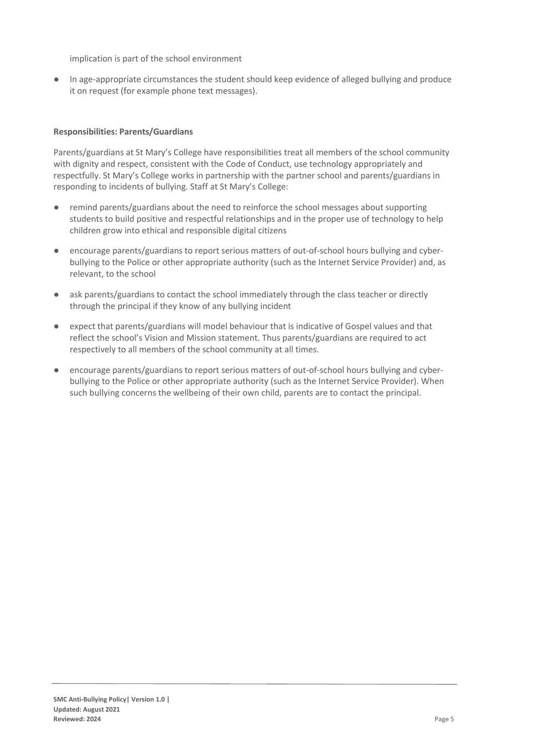implication is part of the school environment

● In age-appropriate circumstances the student should keep evidence of alleged bullying and produce it on request (for example phone text messages).

### **Responsibilities: Parents/Guardians**

Parents/guardians at St Mary's College have responsibilities treat all members of the school community with dignity and respect, consistent with the Code of Conduct, use technology appropriately and respectfully. St Mary's College works in partnership with the partner school and parents/guardians in responding to incidents of bullying. Staff at St Mary's College:

- remind parents/guardians about the need to reinforce the school messages about supporting students to build positive and respectful relationships and in the proper use of technology to help children grow into ethical and responsible digital citizens
- encourage parents/guardians to report serious matters of out-of-school hours bullying and cyberbullying to the Police or other appropriate authority (such as the Internet Service Provider) and, as relevant, to the school
- ask parents/guardians to contact the school immediately through the class teacher or directly through the principal if they know of any bullying incident
- expect that parents/guardians will model behaviour that is indicative of Gospel values and that reflect the school's Vision and Mission statement. Thus parents/guardians are required to act respectively to all members of the school community at all times.
- encourage parents/guardians to report serious matters of out-of-school hours bullying and cyberbullying to the Police or other appropriate authority (such as the Internet Service Provider). When such bullying concerns the wellbeing of their own child, parents are to contact the principal.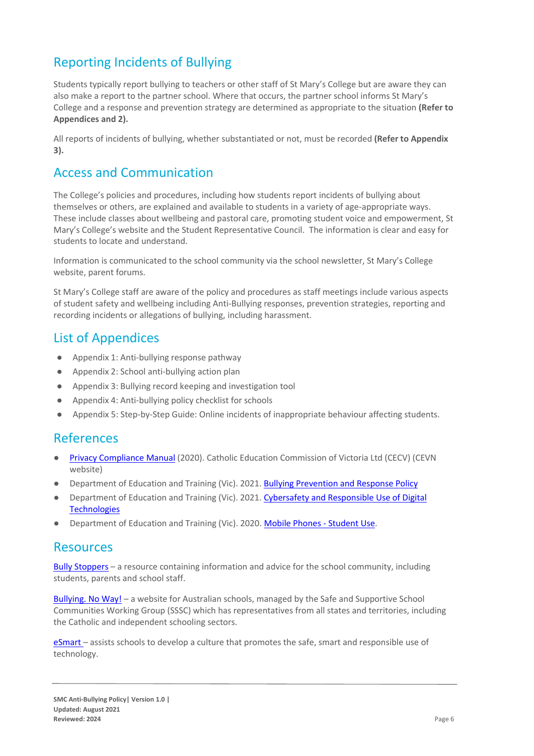# Reporting Incidents of Bullying

Students typically report bullying to teachers or other staff of St Mary's College but are aware they can also make a report to the partner school. Where that occurs, the partner school informs St Mary's College and a response and prevention strategy are determined as appropriate to the situation **(Refer to Appendices and 2).**

All reports of incidents of bullying, whether substantiated or not, must be recorded **(Refer to Appendix 3).**

# Access and Communication

The College's policies and procedures, including how students report incidents of bullying about themselves or others, are explained and available to students in a variety of age-appropriate ways. These include classes about wellbeing and pastoral care, promoting student voice and empowerment, St Mary's College's website and the Student Representative Council. The information is clear and easy for students to locate and understand.

Information is communicated to the school community via the school newsletter, St Mary's College website, parent forums.

St Mary's College staff are aware of the policy and procedures as staff meetings include various aspects of student safety and wellbeing including Anti-Bullying responses, prevention strategies, reporting and recording incidents or allegations of bullying, including harassment.

# List of Appendices

- Appendix 1: Anti-bullying response pathway
- Appendix 2: School anti-bullying action plan
- Appendix 3: Bullying record keeping and investigation tool
- Appendix 4: Anti-bullying policy checklist for schools
- Appendix 5: Step-by-Step Guide: Online incidents of inappropriate behaviour affecting students.

# References

- [Privacy Compliance Manual](https://cevn.cecv.catholic.edu.au/Melb/Document-File/Polices-Compliance-and-Legal/Privacy/Privacy-Compliance-Manual.aspx) (2020). Catholic Education Commission of Victoria Ltd (CECV) (CEVN website)
- Department of Education and Training (Vic). 2021. [Bullying Prevention and Response Policy](https://www2.education.vic.gov.au/pal/bullying-prevention-response/policy)
- Department of Education and Training (Vic). 2021. Cybersafety and Responsible Use of Digital **[Technologies](https://www2.education.vic.gov.au/pal/cybersafety/policy)**
- Department of Education and Training (Vic). 2020. [Mobile Phones -](https://www2.education.vic.gov.au/pal/students-using-mobile-phones/policy) Student Use.

## Resources

Bully [Stoppers](https://www.education.vic.gov.au/about/programs/bullystoppers/Pages/default.aspx) – a resource containing information and advice for the school community, including students, parents and school staff.

[Bullying. No](https://bullyingnoway.gov.au/) Way! – a website for Australian schools, managed by the Safe and Supportive School Communities Working Group (SSSC) which has representatives from all states and territories, including the Catholic and independent schooling sectors.

[eSmart](https://www.education.vic.gov.au/about/programs/bullystoppers/Pages/esmart.aspx) – assists schools to develop a culture that promotes the safe, smart and responsible use of technology.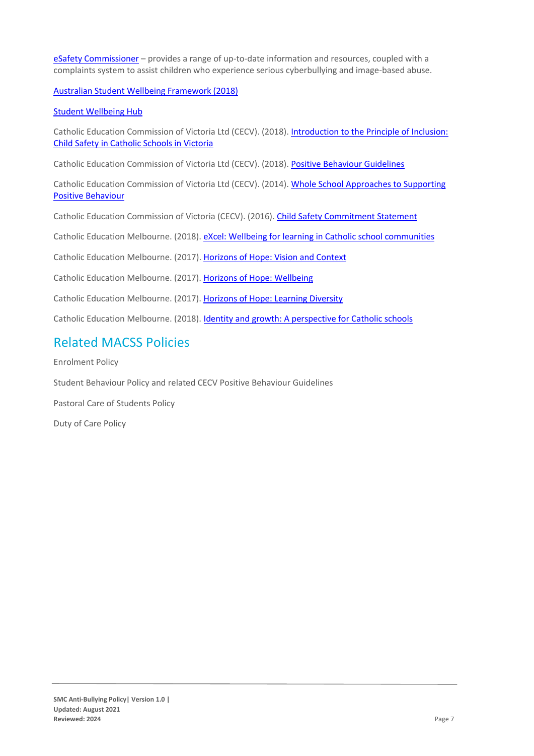eSafety [Commissioner](https://www.esafety.gov.au/) – provides a range of up-to-date information and resources, coupled with a complaints system to assist children who experience serious cyberbullying and image-based abuse.

[Australian Student Wellbeing Framework \(2018\)](https://www.studentwellbeinghub.edu.au/docs/default-source/aswf_booklet-pdf.pdf)

## [Student Wellbeing Hub](https://www.studentwellbeinghub.edu.au/)

Catholic Education Commission of Victoria Ltd (CECV). (2018)[. Introduction to the Principle of Inclusion:](https://cevn.cecv.catholic.edu.au/childsafety/standards.aspx)  Child [Safety in Catholic Schools in Victoria](https://cevn.cecv.catholic.edu.au/childsafety/standards.aspx)

Catholic Education Commission of Victoria Ltd (CECV). (2018)[. Positive Behaviour Guidelines](http://www.cecv.catholic.edu.au/getmedia/bc1d235d-9a98-4bb4-b3ac-84b50fa7c639/CECV-Positive-Behaviour-Guidelines_FINAL2.aspx?ext=.pdf)

Catholic Education Commission of Victoria Ltd (CECV). (2014)[. Whole School Approaches to Supporting](http://www.cecv.catholic.edu.au/getmedia/9a82dbf1-965d-41c7-922c-ea5dd86cc52a/Positive-Student-Behaviour.aspx?ext=.pdf)  [Positive Behaviour](http://www.cecv.catholic.edu.au/getmedia/9a82dbf1-965d-41c7-922c-ea5dd86cc52a/Positive-Student-Behaviour.aspx?ext=.pdf)

Catholic Education Commission of Victoria (CECV). (2016)[. Child Safety Commitment Statement](https://www.cem.edu.au/CatholicEducationMelbourne/media/Documentation/Documents/Child-Safety-Commitment-Statement.pdf)

Catholic Education Melbourne. (2018). [eXcel: Wellbeing for learning in Catholic school communities](https://www.cem.edu.au/Our-Schools/Curriculum-Learning-Programs/Student-Wellbeing/eXcel.aspx)

Catholic Education Melbourne. (2017). [Horizons of Hope: Vision and Context](https://www.cem.edu.au/Our-Schools/Curriculum-Learning-Programs/Horizons-of-Hope/Vision-Context.aspx)

Catholic Education Melbourne. (2017). [Horizons of Hope: Wellbeing](https://www.cem.edu.au/Our-Schools/Curriculum-Learning-Programs/Student-Wellbeing.aspx)

Catholic Education Melbourne. (2017). [Horizons of Hope: Learning Diversity](https://www.cem.edu.au/Our-Schools/Curriculum-Learning-Programs/Horizons-of-Hope/Learning-Diversity.aspx)

Catholic Education Melbourne. (2018). [Identity and growth: A perspective for Catholic schools](https://cevn.cecv.catholic.edu.au/ReligiousEducation.aspx?id=8589945160)

# Related MACSS Policies

Enrolment Policy

Student Behaviour Policy and related CECV Positive Behaviour Guidelines

Pastoral Care of Students Policy

Duty of Care Policy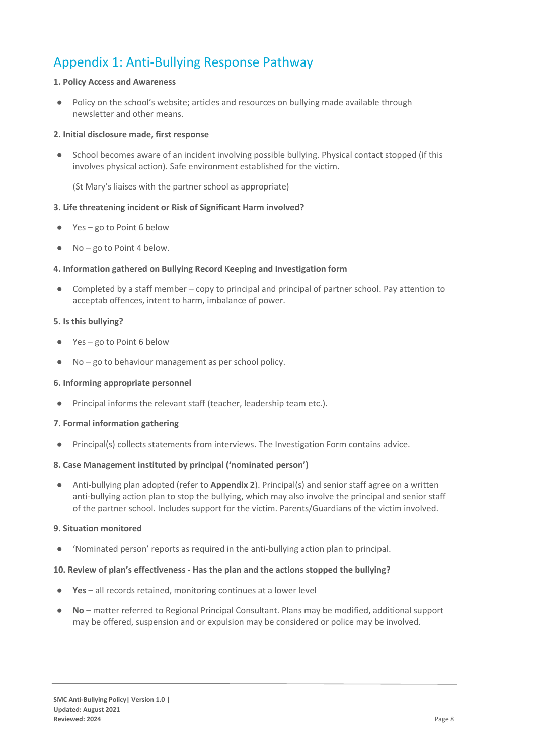# Appendix 1: Anti-Bullying Response Pathway

### **1. Policy Access and Awareness**

● Policy on the school's website; articles and resources on bullying made available through newsletter and other means.

### **2. Initial disclosure made, first response**

● School becomes aware of an incident involving possible bullying. Physical contact stopped (if this involves physical action). Safe environment established for the victim.

(St Mary's liaises with the partner school as appropriate)

## **3. Life threatening incident or Risk of Significant Harm involved?**

- Yes go to Point 6 below
- $\bullet$  No go to Point 4 below.

## **4. Information gathered on Bullying Record Keeping and Investigation form**

● Completed by a staff member – copy to principal and principal of partner school. Pay attention to acceptab offences, intent to harm, imbalance of power.

## **5. Is this bullying?**

- Yes go to Point 6 below
- No go to behaviour management as per school policy.

### **6. Informing appropriate personnel**

● Principal informs the relevant staff (teacher, leadership team etc.).

### **7. Formal information gathering**

● Principal(s) collects statements from interviews. The Investigation Form contains advice.

### **8. Case Management instituted by principal ('nominated person')**

● Anti-bullying plan adopted (refer to **Appendix 2**). Principal(s) and senior staff agree on a written anti-bullying action plan to stop the bullying, which may also involve the principal and senior staff of the partner school. Includes support for the victim. Parents/Guardians of the victim involved.

### **9. Situation monitored**

● 'Nominated person' reports as required in the anti-bullying action plan to principal.

### **10. Review of plan's effectiveness - Has the plan and the actions stopped the bullying?**

- **Yes** all records retained, monitoring continues at a lower level
- **No** matter referred to Regional Principal Consultant. Plans may be modified, additional support may be offered, suspension and or expulsion may be considered or police may be involved.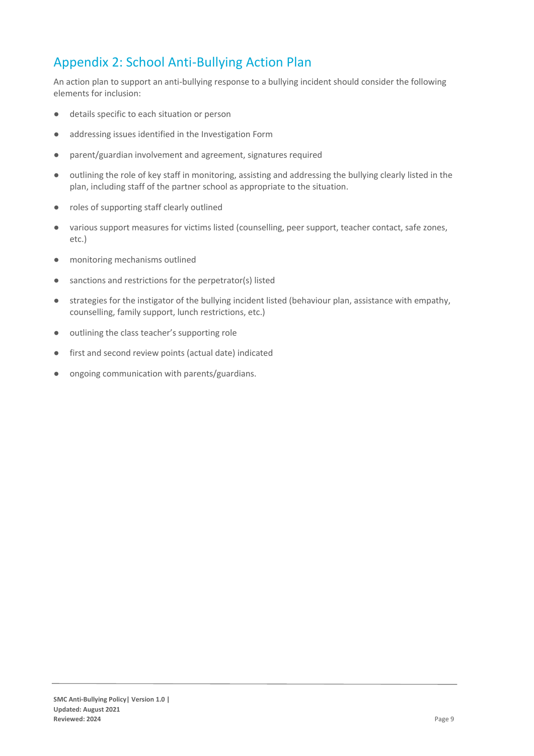# Appendix 2: School Anti-Bullying Action Plan

An action plan to support an anti-bullying response to a bullying incident should consider the following elements for inclusion:

- details specific to each situation or person
- addressing issues identified in the Investigation Form
- parent/guardian involvement and agreement, signatures required
- outlining the role of key staff in monitoring, assisting and addressing the bullying clearly listed in the plan, including staff of the partner school as appropriate to the situation.
- roles of supporting staff clearly outlined
- various support measures for victims listed (counselling, peer support, teacher contact, safe zones, etc.)
- monitoring mechanisms outlined
- sanctions and restrictions for the perpetrator(s) listed
- strategies for the instigator of the bullying incident listed (behaviour plan, assistance with empathy, counselling, family support, lunch restrictions, etc.)
- outlining the class teacher's supporting role
- first and second review points (actual date) indicated
- ongoing communication with parents/guardians.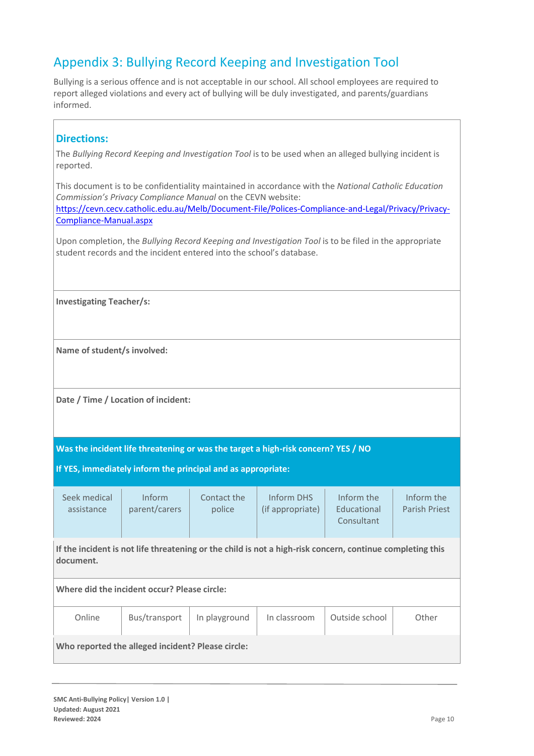# Appendix 3: Bullying Record Keeping and Investigation Tool

Bullying is a serious offence and is not acceptable in our school. All school employees are required to report alleged violations and every act of bullying will be duly investigated, and parents/guardians informed.

## **Directions:**

The *Bullying Record Keeping and Investigation Tool* is to be used when an alleged bullying incident is reported.

This document is to be confidentiality maintained in accordance with the *National Catholic Education Commission's Privacy Compliance Manual* on the CEVN website: [https://cevn.cecv.catholic.edu.au/Melb/Document-File/Polices-Compliance-and-Legal/Privacy/Privacy-](https://protect-au.mimecast.com/s/u0I6C3QNmGswxYYIY89x_?domain=aus01.safelinks.protection.outlook.com)[Compliance-Manual.aspx](https://protect-au.mimecast.com/s/u0I6C3QNmGswxYYIY89x_?domain=aus01.safelinks.protection.outlook.com)

Upon completion, the *Bullying Record Keeping and Investigation Tool* is to be filed in the appropriate student records and the incident entered into the school's database.

**Investigating Teacher/s:**

**Name of student/s involved:**

**Date / Time / Location of incident:**

**Was the incident life threatening or was the target a high-risk concern? YES / NO**

**If YES, immediately inform the principal and as appropriate:** 

| Seek medical<br>assistance                        | Inform<br>parent/carers | Contact the<br>police | Inform DHS<br>(if appropriate) | Inform the<br><b>Educational</b><br>Consultant                                                            | Inform the<br><b>Parish Priest</b> |
|---------------------------------------------------|-------------------------|-----------------------|--------------------------------|-----------------------------------------------------------------------------------------------------------|------------------------------------|
| document.                                         |                         |                       |                                | If the incident is not life threatening or the child is not a high-risk concern, continue completing this |                                    |
| Where did the incident occur? Please circle:      |                         |                       |                                |                                                                                                           |                                    |
| Online                                            | Bus/transport           | In playground         | In classroom                   | Outside school                                                                                            | Other                              |
| Who reported the alleged incident? Please circle: |                         |                       |                                |                                                                                                           |                                    |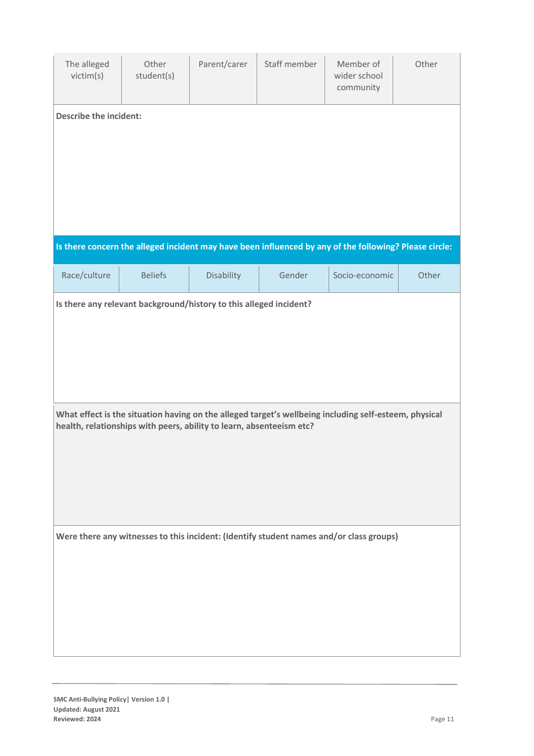| The alleged<br>victim(s)                                                                                                                                                      | Other<br>student(s)                                                | Parent/carer | Staff member | Member of<br>wider school<br>community                                                                 | Other |  |
|-------------------------------------------------------------------------------------------------------------------------------------------------------------------------------|--------------------------------------------------------------------|--------------|--------------|--------------------------------------------------------------------------------------------------------|-------|--|
|                                                                                                                                                                               | <b>Describe the incident:</b>                                      |              |              |                                                                                                        |       |  |
|                                                                                                                                                                               |                                                                    |              |              |                                                                                                        |       |  |
|                                                                                                                                                                               |                                                                    |              |              |                                                                                                        |       |  |
|                                                                                                                                                                               |                                                                    |              |              |                                                                                                        |       |  |
|                                                                                                                                                                               |                                                                    |              |              |                                                                                                        |       |  |
|                                                                                                                                                                               |                                                                    |              |              | Is there concern the alleged incident may have been influenced by any of the following? Please circle: |       |  |
| Race/culture                                                                                                                                                                  | <b>Beliefs</b>                                                     | Disability   | Gender       | Socio-economic                                                                                         | Other |  |
|                                                                                                                                                                               | Is there any relevant background/history to this alleged incident? |              |              |                                                                                                        |       |  |
| What effect is the situation having on the alleged target's wellbeing including self-esteem, physical<br>health, relationships with peers, ability to learn, absenteeism etc? |                                                                    |              |              |                                                                                                        |       |  |
|                                                                                                                                                                               |                                                                    |              |              | Were there any witnesses to this incident: (Identify student names and/or class groups)                |       |  |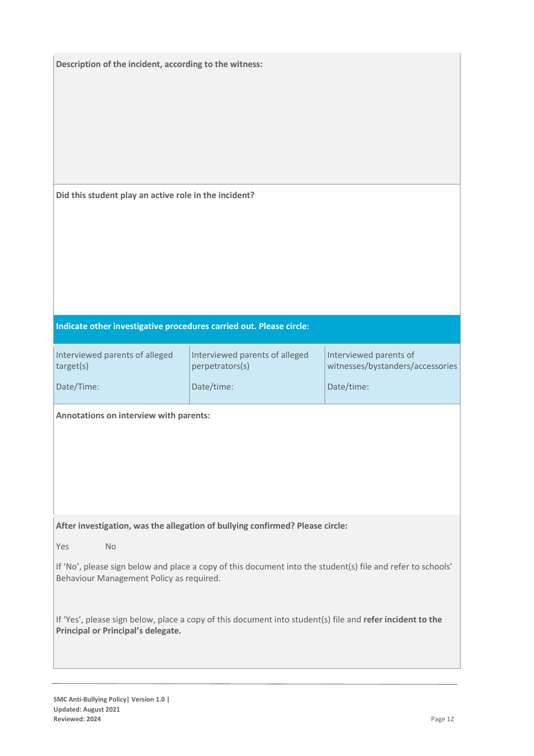| Description of the incident, according to the witness:                                                                                                                                                                                                                                   |                                                                               |                                                                          |  |  |
|------------------------------------------------------------------------------------------------------------------------------------------------------------------------------------------------------------------------------------------------------------------------------------------|-------------------------------------------------------------------------------|--------------------------------------------------------------------------|--|--|
| Did this student play an active role in the incident?                                                                                                                                                                                                                                    |                                                                               |                                                                          |  |  |
| Indicate other investigative procedures carried out. Please circle:                                                                                                                                                                                                                      |                                                                               |                                                                          |  |  |
| Interviewed parents of alleged<br>target(s)<br>Date/Time:                                                                                                                                                                                                                                | Interviewed parents of alleged<br>perpetrators(s)<br>Date/time:               | Interviewed parents of<br>witnesses/bystanders/accessories<br>Date/time: |  |  |
| Annotations on interview with parents:                                                                                                                                                                                                                                                   |                                                                               |                                                                          |  |  |
|                                                                                                                                                                                                                                                                                          | After investigation, was the allegation of bullying confirmed? Please circle: |                                                                          |  |  |
| Yes<br><b>No</b><br>If 'No', please sign below and place a copy of this document into the student(s) file and refer to schools'<br>Behaviour Management Policy as required.<br>If 'Yes', please sign below, place a copy of this document into student(s) file and refer incident to the |                                                                               |                                                                          |  |  |
| Principal or Principal's delegate.                                                                                                                                                                                                                                                       |                                                                               |                                                                          |  |  |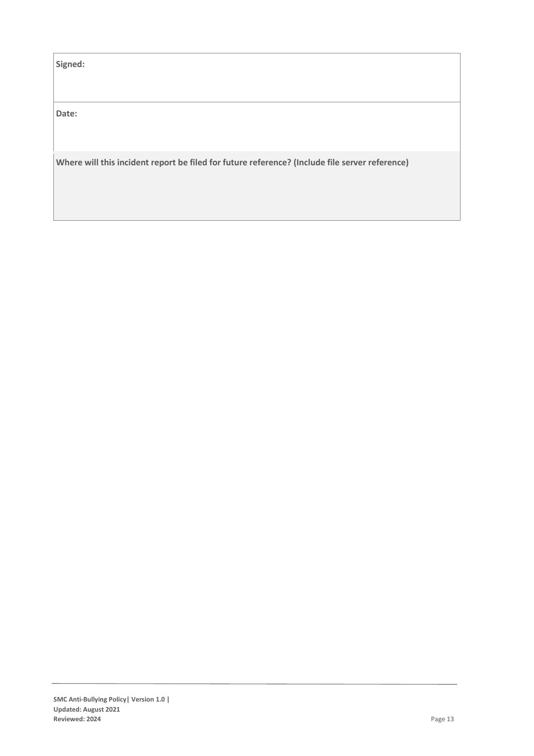| Signed:                                                                                        |  |
|------------------------------------------------------------------------------------------------|--|
|                                                                                                |  |
|                                                                                                |  |
| Date:                                                                                          |  |
|                                                                                                |  |
|                                                                                                |  |
| Where will this incident report be filed for future reference? (Include file server reference) |  |
|                                                                                                |  |
|                                                                                                |  |
|                                                                                                |  |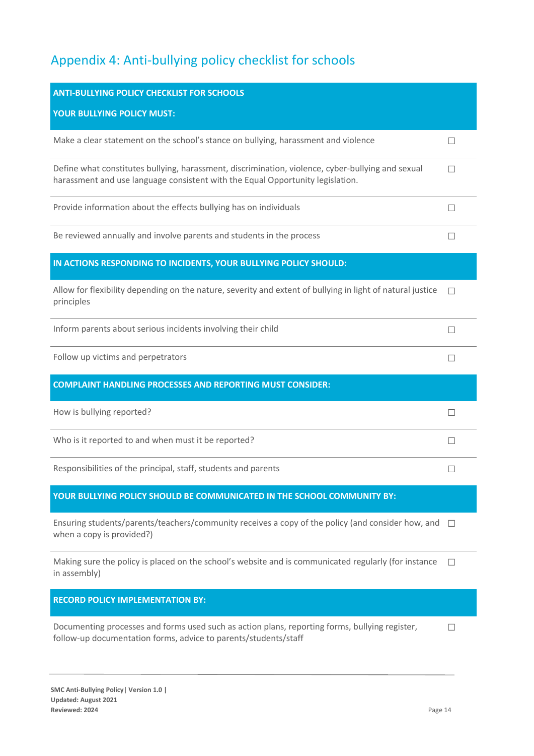# Appendix 4: Anti-bullying policy checklist for schools

| <b>ANTI-BULLYING POLICY CHECKLIST FOR SCHOOLS</b>                                                                                                                                   |   |
|-------------------------------------------------------------------------------------------------------------------------------------------------------------------------------------|---|
| YOUR BULLYING POLICY MUST:                                                                                                                                                          |   |
| Make a clear statement on the school's stance on bullying, harassment and violence                                                                                                  | П |
| Define what constitutes bullying, harassment, discrimination, violence, cyber-bullying and sexual<br>harassment and use language consistent with the Equal Opportunity legislation. | П |
| Provide information about the effects bullying has on individuals                                                                                                                   | □ |
| Be reviewed annually and involve parents and students in the process                                                                                                                | П |
| IN ACTIONS RESPONDING TO INCIDENTS, YOUR BULLYING POLICY SHOULD:                                                                                                                    |   |
| Allow for flexibility depending on the nature, severity and extent of bullying in light of natural justice<br>principles                                                            | П |
| Inform parents about serious incidents involving their child                                                                                                                        | П |
| Follow up victims and perpetrators                                                                                                                                                  | П |
| <b>COMPLAINT HANDLING PROCESSES AND REPORTING MUST CONSIDER:</b>                                                                                                                    |   |
| How is bullying reported?                                                                                                                                                           | П |
| Who is it reported to and when must it be reported?                                                                                                                                 | П |
| Responsibilities of the principal, staff, students and parents                                                                                                                      | П |
| YOUR BULLYING POLICY SHOULD BE COMMUNICATED IN THE SCHOOL COMMUNITY BY:                                                                                                             |   |

Ensuring students/parents/teachers/community receives a copy of the policy (and consider how, and □ when a copy is provided?)

Making sure the policy is placed on the school's website and is communicated regularly (for instance  $\Box$ in assembly)

**RECORD POLICY IMPLEMENTATION BY:** 

Documenting processes and forms used such as action plans, reporting forms, bullying register, follow-up documentation forms, advice to parents/students/staff  $\Box$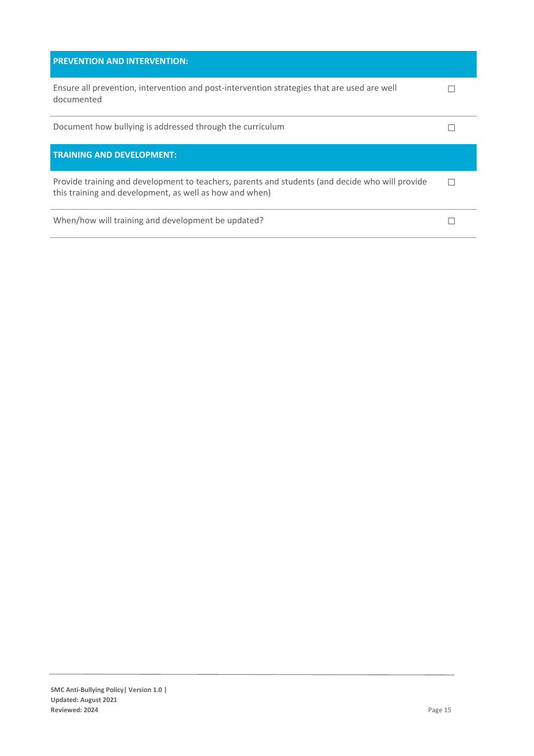| <b>PREVENTION AND INTERVENTION:</b>                                                                                                                        |  |
|------------------------------------------------------------------------------------------------------------------------------------------------------------|--|
| Ensure all prevention, intervention and post-intervention strategies that are used are well<br>documented                                                  |  |
| Document how bullying is addressed through the curriculum                                                                                                  |  |
| <b>TRAINING AND DEVELOPMENT:</b>                                                                                                                           |  |
| Provide training and development to teachers, parents and students (and decide who will provide<br>this training and development, as well as how and when) |  |
|                                                                                                                                                            |  |